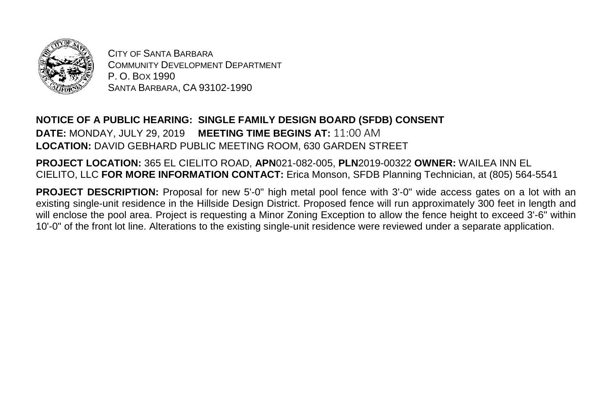

CITY OF SANTA BARBARA COMMUNITY DEVELOPMENT DEPARTMENT P. O. BOX 1990 SANTA BARBARA, CA 93102-1990

## **NOTICE OF A PUBLIC HEARING: SINGLE FAMILY DESIGN BOARD (SFDB) CONSENT DATE:** MONDAY, JULY 29, 2019 **MEETING TIME BEGINS AT:** 11:00 AM **LOCATION:** DAVID GEBHARD PUBLIC MEETING ROOM, 630 GARDEN STREET

**PROJECT LOCATION:** 365 EL CIELITO ROAD, **APN**021-082-005, **PLN**2019-00322 **OWNER:** WAILEA INN EL CIELITO, LLC **FOR MORE INFORMATION CONTACT:** Erica Monson, SFDB Planning Technician, at (805) 564-5541

**PROJECT DESCRIPTION:** Proposal for new 5'-0" high metal pool fence with 3'-0" wide access gates on a lot with an existing single-unit residence in the Hillside Design District. Proposed fence will run approximately 300 feet in length and will enclose the pool area. Project is requesting a Minor Zoning Exception to allow the fence height to exceed 3'-6" within 10'-0" of the front lot line. Alterations to the existing single-unit residence were reviewed under a separate application.